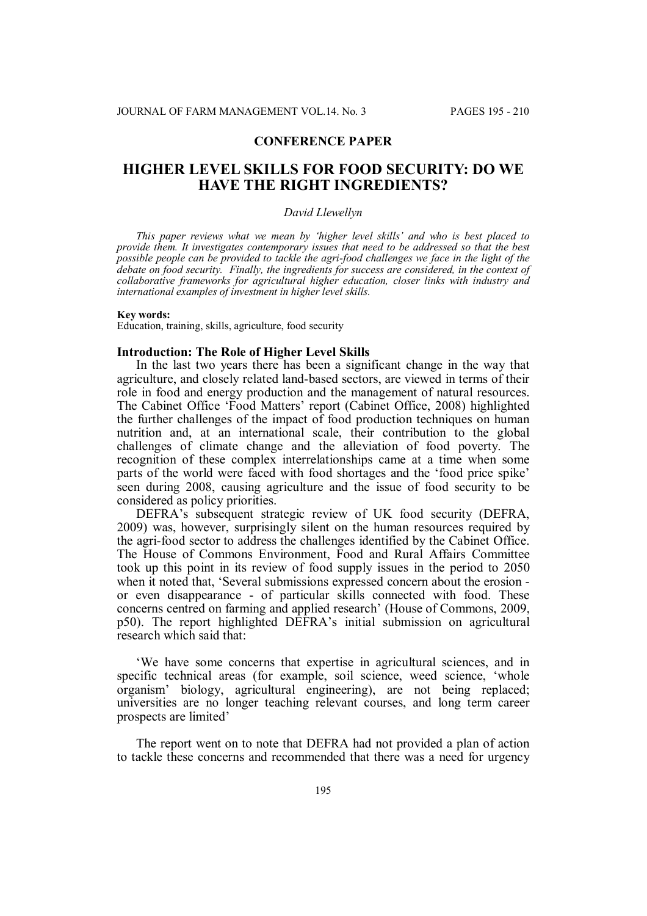# **CONFERENCE PAPER**

# **HIGHER LEVEL SKILLS FOR FOOD SECURITY: DO WE HAVE THE RIGHT INGREDIENTS?**

### *David Llewellyn*

*This paper reviews what we mean by 'higher level skills' and who is best placed to provide them. It investigates contemporary issues that need to be addressed so that the best possible people can be provided to tackle the agri-food challenges we face in the light of the debate on food security. Finally, the ingredients for success are considered, in the context of collaborative frameworks for agricultural higher education, closer links with industry and international examples of investment in higher level skills.*

#### **Key words:**

Education, training, skills, agriculture, food security

# **Introduction: The Role of Higher Level Skills**

In the last two years there has been a significant change in the way that agriculture, and closely related land-based sectors, are viewed in terms of their role in food and energy production and the management of natural resources. The Cabinet Office 'Food Matters' report (Cabinet Office, 2008) highlighted the further challenges of the impact of food production techniques on human nutrition and, at an international scale, their contribution to the global challenges of climate change and the alleviation of food poverty. The recognition of these complex interrelationships came at a time when some parts of the world were faced with food shortages and the 'food price spike' seen during 2008, causing agriculture and the issue of food security to be considered as policy priorities.

DEFRA's subsequent strategic review of UK food security (DEFRA, 2009) was, however, surprisingly silent on the human resources required by the agri-food sector to address the challenges identified by the Cabinet Office. The House of Commons Environment, Food and Rural Affairs Committee took up this point in its review of food supply issues in the period to 2050 when it noted that, 'Several submissions expressed concern about the erosion or even disappearance - of particular skills connected with food. These concerns centred on farming and applied research' (House of Commons, 2009, p50). The report highlighted DEFRA's initial submission on agricultural research which said that:

'We have some concerns that expertise in agricultural sciences, and in specific technical areas (for example, soil science, weed science, 'whole organism' biology, agricultural engineering), are not being replaced; universities are no longer teaching relevant courses, and long term career prospects are limited'

The report went on to note that DEFRA had not provided a plan of action to tackle these concerns and recommended that there was a need for urgency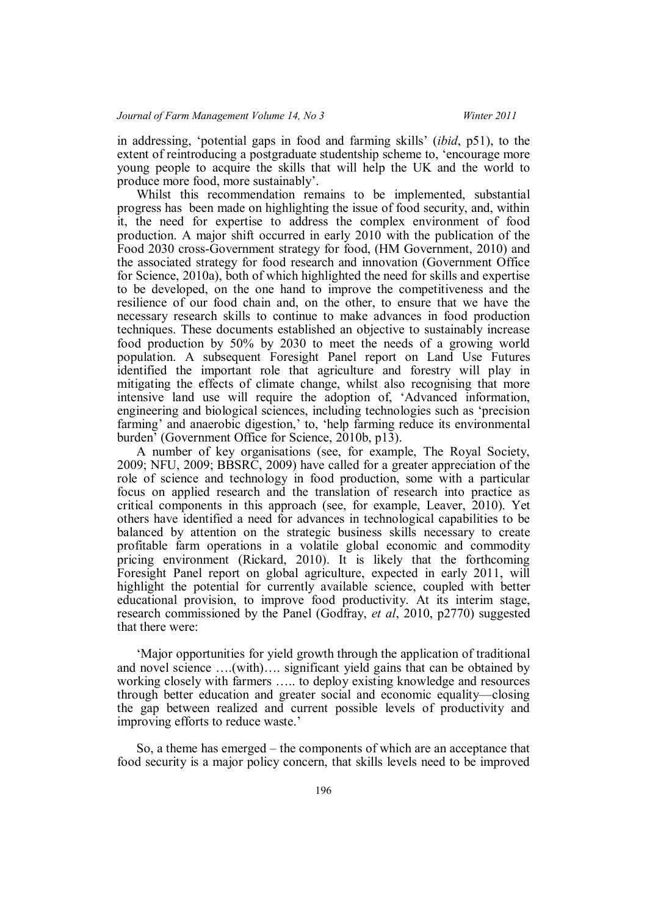in addressing, 'potential gaps in food and farming skills' (*ibid*, p51), to the extent of reintroducing a postgraduate studentship scheme to, 'encourage more young people to acquire the skills that will help the UK and the world to produce more food, more sustainably'.

Whilst this recommendation remains to be implemented, substantial progress has been made on highlighting the issue of food security, and, within it, the need for expertise to address the complex environment of food production. A major shift occurred in early 2010 with the publication of the Food 2030 cross-Government strategy for food, (HM Government, 2010) and the associated strategy for food research and innovation (Government Office for Science, 2010a), both of which highlighted the need for skills and expertise to be developed, on the one hand to improve the competitiveness and the resilience of our food chain and, on the other, to ensure that we have the necessary research skills to continue to make advances in food production techniques. These documents established an objective to sustainably increase food production by 50% by 2030 to meet the needs of a growing world population. A subsequent Foresight Panel report on Land Use Futures identified the important role that agriculture and forestry will play in mitigating the effects of climate change, whilst also recognising that more intensive land use will require the adoption of, 'Advanced information, engineering and biological sciences, including technologies such as 'precision farming' and anaerobic digestion,' to, 'help farming reduce its environmental burden' (Government Office for Science, 2010b, p13).

A number of key organisations (see, for example, The Royal Society, 2009; NFU, 2009; BBSRC, 2009) have called for a greater appreciation of the role of science and technology in food production, some with a particular focus on applied research and the translation of research into practice as critical components in this approach (see, for example, Leaver, 2010). Yet others have identified a need for advances in technological capabilities to be balanced by attention on the strategic business skills necessary to create profitable farm operations in a volatile global economic and commodity pricing environment (Rickard, 2010). It is likely that the forthcoming Foresight Panel report on global agriculture, expected in early 2011, will highlight the potential for currently available science, coupled with better educational provision, to improve food productivity. At its interim stage, research commissioned by the Panel (Godfray, *et al*, 2010, p2770) suggested that there were:

'Major opportunities for yield growth through the application of traditional and novel science ….(with)…. significant yield gains that can be obtained by working closely with farmers ….. to deploy existing knowledge and resources through better education and greater social and economic equality—closing the gap between realized and current possible levels of productivity and improving efforts to reduce waste.'

So, a theme has emerged – the components of which are an acceptance that food security is a major policy concern, that skills levels need to be improved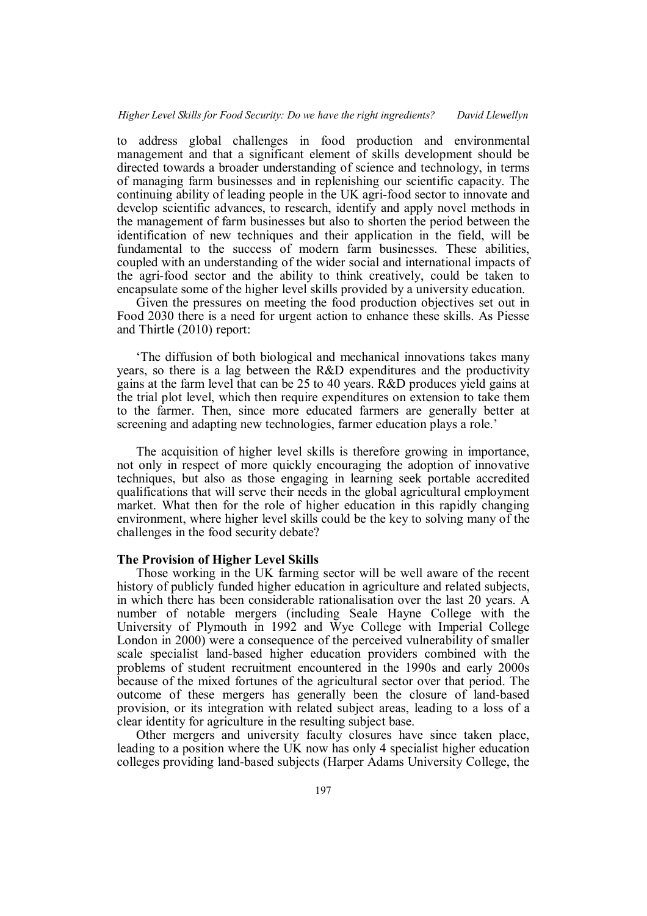to address global challenges in food production and environmental management and that a significant element of skills development should be directed towards a broader understanding of science and technology, in terms of managing farm businesses and in replenishing our scientific capacity. The continuing ability of leading people in the UK agri-food sector to innovate and develop scientific advances, to research, identify and apply novel methods in the management of farm businesses but also to shorten the period between the identification of new techniques and their application in the field, will be fundamental to the success of modern farm businesses. These abilities, coupled with an understanding of the wider social and international impacts of the agri-food sector and the ability to think creatively, could be taken to encapsulate some of the higher level skills provided by a university education.

Given the pressures on meeting the food production objectives set out in Food 2030 there is a need for urgent action to enhance these skills. As Piesse and Thirtle (2010) report:

'The diffusion of both biological and mechanical innovations takes many years, so there is a lag between the R&D expenditures and the productivity gains at the farm level that can be 25 to 40 years. R&D produces yield gains at the trial plot level, which then require expenditures on extension to take them to the farmer. Then, since more educated farmers are generally better at screening and adapting new technologies, farmer education plays a role.'

The acquisition of higher level skills is therefore growing in importance, not only in respect of more quickly encouraging the adoption of innovative techniques, but also as those engaging in learning seek portable accredited qualifications that will serve their needs in the global agricultural employment market. What then for the role of higher education in this rapidly changing environment, where higher level skills could be the key to solving many of the challenges in the food security debate?

#### **The Provision of Higher Level Skills**

Those working in the UK farming sector will be well aware of the recent history of publicly funded higher education in agriculture and related subjects, in which there has been considerable rationalisation over the last 20 years. A number of notable mergers (including Seale Hayne College with the University of Plymouth in 1992 and Wye College with Imperial College London in 2000) were a consequence of the perceived vulnerability of smaller scale specialist land-based higher education providers combined with the problems of student recruitment encountered in the 1990s and early 2000s because of the mixed fortunes of the agricultural sector over that period. The outcome of these mergers has generally been the closure of land-based provision, or its integration with related subject areas, leading to a loss of a clear identity for agriculture in the resulting subject base.

Other mergers and university faculty closures have since taken place, leading to a position where the UK now has only 4 specialist higher education colleges providing land-based subjects (Harper Adams University College, the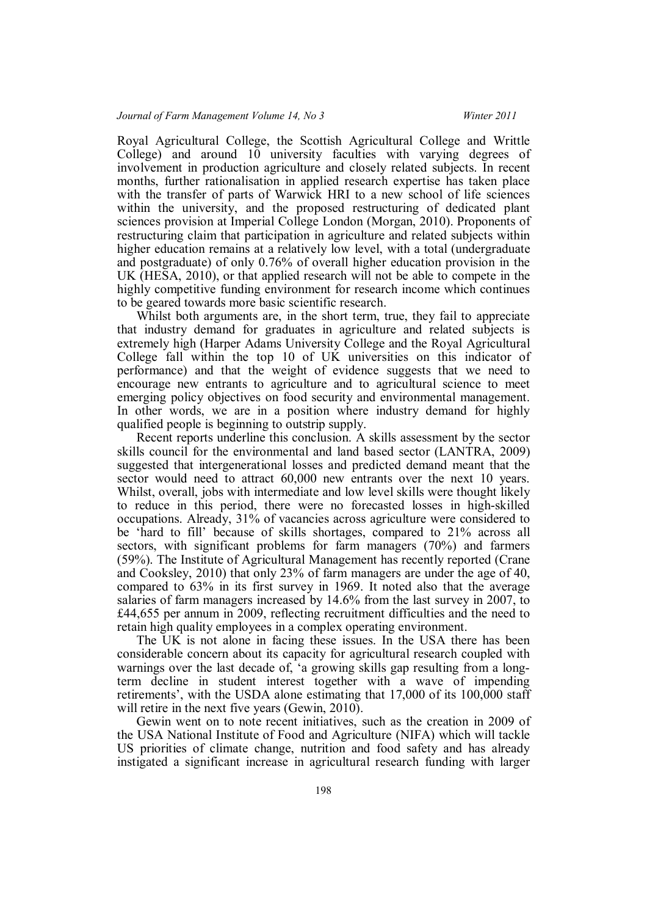Royal Agricultural College, the Scottish Agricultural College and Writtle College) and around 10 university faculties with varying degrees of involvement in production agriculture and closely related subjects. In recent months, further rationalisation in applied research expertise has taken place with the transfer of parts of Warwick HRI to a new school of life sciences within the university, and the proposed restructuring of dedicated plant sciences provision at Imperial College London (Morgan, 2010). Proponents of restructuring claim that participation in agriculture and related subjects within higher education remains at a relatively low level, with a total (undergraduate and postgraduate) of only 0.76% of overall higher education provision in the UK (HESA, 2010), or that applied research will not be able to compete in the highly competitive funding environment for research income which continues to be geared towards more basic scientific research.

Whilst both arguments are, in the short term, true, they fail to appreciate that industry demand for graduates in agriculture and related subjects is extremely high (Harper Adams University College and the Royal Agricultural College fall within the top 10 of UK universities on this indicator of performance) and that the weight of evidence suggests that we need to encourage new entrants to agriculture and to agricultural science to meet emerging policy objectives on food security and environmental management. In other words, we are in a position where industry demand for highly qualified people is beginning to outstrip supply.

Recent reports underline this conclusion. A skills assessment by the sector skills council for the environmental and land based sector (LANTRA, 2009) suggested that intergenerational losses and predicted demand meant that the sector would need to attract 60,000 new entrants over the next 10 years. Whilst, overall, jobs with intermediate and low level skills were thought likely to reduce in this period, there were no forecasted losses in high-skilled occupations. Already, 31% of vacancies across agriculture were considered to be 'hard to fill' because of skills shortages, compared to 21% across all sectors, with significant problems for farm managers (70%) and farmers (59%). The Institute of Agricultural Management has recently reported (Crane and Cooksley, 2010) that only 23% of farm managers are under the age of 40, compared to 63% in its first survey in 1969. It noted also that the average salaries of farm managers increased by 14.6% from the last survey in 2007, to £44,655 per annum in 2009, reflecting recruitment difficulties and the need to retain high quality employees in a complex operating environment.

The UK is not alone in facing these issues. In the USA there has been considerable concern about its capacity for agricultural research coupled with warnings over the last decade of, 'a growing skills gap resulting from a longterm decline in student interest together with a wave of impending retirements', with the USDA alone estimating that 17,000 of its 100,000 staff will retire in the next five years (Gewin, 2010).

Gewin went on to note recent initiatives, such as the creation in 2009 of the USA National Institute of Food and Agriculture (NIFA) which will tackle US priorities of climate change, nutrition and food safety and has already instigated a significant increase in agricultural research funding with larger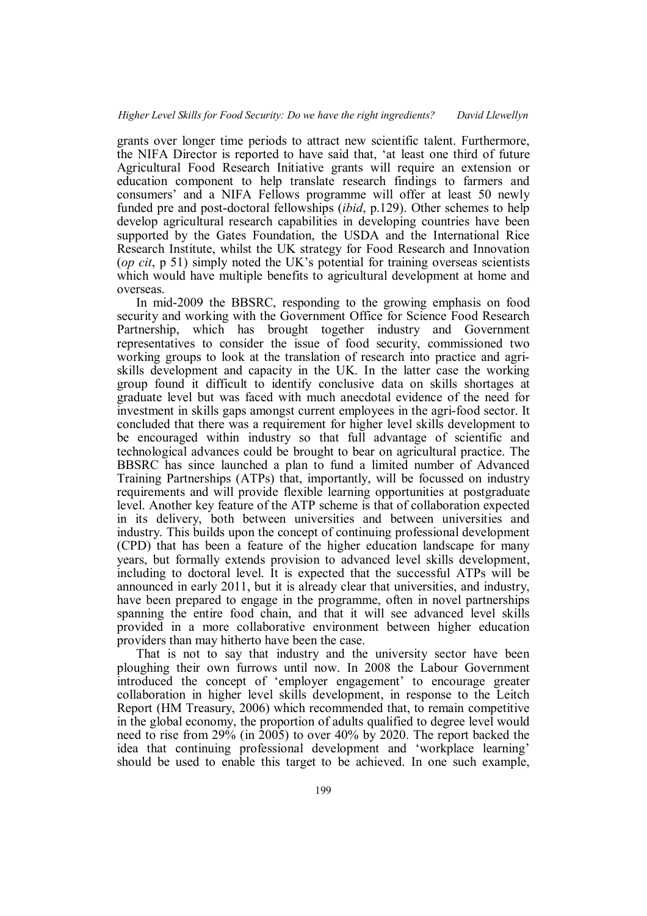grants over longer time periods to attract new scientific talent. Furthermore, the NIFA Director is reported to have said that, 'at least one third of future Agricultural Food Research Initiative grants will require an extension or education component to help translate research findings to farmers and consumers' and a NIFA Fellows programme will offer at least 50 newly funded pre and post-doctoral fellowships (*ibid*, p.129). Other schemes to help develop agricultural research capabilities in developing countries have been supported by the Gates Foundation, the USDA and the International Rice Research Institute, whilst the UK strategy for Food Research and Innovation (*op cit*, p 51) simply noted the UK's potential for training overseas scientists which would have multiple benefits to agricultural development at home and overseas.

In mid-2009 the BBSRC, responding to the growing emphasis on food security and working with the Government Office for Science Food Research Partnership, which has brought together industry and Government representatives to consider the issue of food security, commissioned two working groups to look at the translation of research into practice and agriskills development and capacity in the UK. In the latter case the working group found it difficult to identify conclusive data on skills shortages at graduate level but was faced with much anecdotal evidence of the need for investment in skills gaps amongst current employees in the agri-food sector. It concluded that there was a requirement for higher level skills development to be encouraged within industry so that full advantage of scientific and technological advances could be brought to bear on agricultural practice. The BBSRC has since launched a plan to fund a limited number of Advanced Training Partnerships (ATPs) that, importantly, will be focussed on industry requirements and will provide flexible learning opportunities at postgraduate level. Another key feature of the ATP scheme is that of collaboration expected in its delivery, both between universities and between universities and industry. This builds upon the concept of continuing professional development (CPD) that has been a feature of the higher education landscape for many years, but formally extends provision to advanced level skills development, including to doctoral level. It is expected that the successful ATPs will be announced in early 2011, but it is already clear that universities, and industry, have been prepared to engage in the programme, often in novel partnerships spanning the entire food chain, and that it will see advanced level skills provided in a more collaborative environment between higher education providers than may hitherto have been the case.

That is not to say that industry and the university sector have been ploughing their own furrows until now. In 2008 the Labour Government introduced the concept of 'employer engagement' to encourage greater collaboration in higher level skills development, in response to the Leitch Report (HM Treasury, 2006) which recommended that, to remain competitive in the global economy, the proportion of adults qualified to degree level would need to rise from 29% (in 2005) to over 40% by 2020. The report backed the idea that continuing professional development and 'workplace learning' should be used to enable this target to be achieved. In one such example,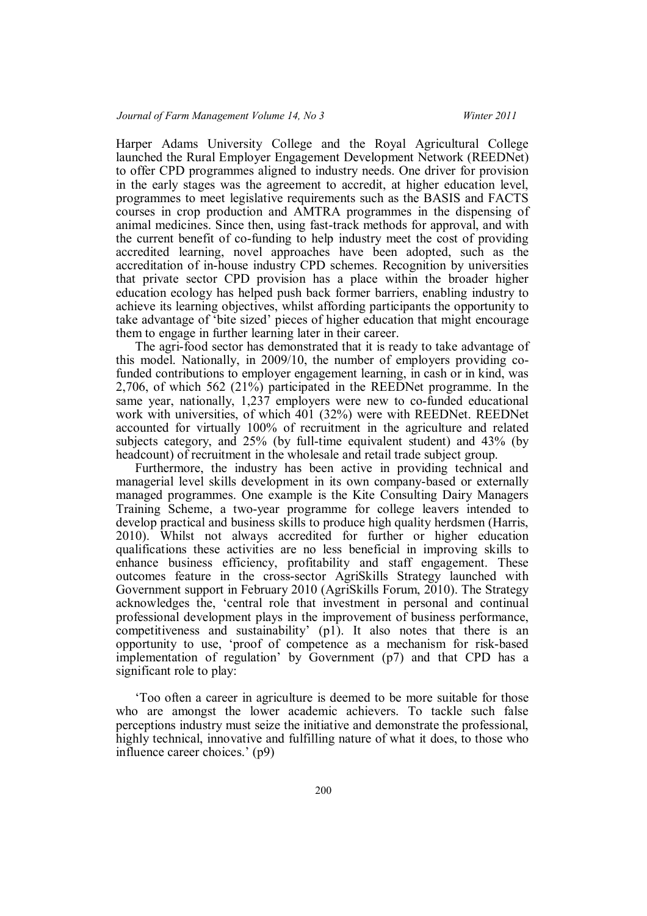Harper Adams University College and the Royal Agricultural College launched the Rural Employer Engagement Development Network (REEDNet) to offer CPD programmes aligned to industry needs. One driver for provision in the early stages was the agreement to accredit, at higher education level, programmes to meet legislative requirements such as the BASIS and FACTS courses in crop production and AMTRA programmes in the dispensing of animal medicines. Since then, using fast-track methods for approval, and with the current benefit of co-funding to help industry meet the cost of providing accredited learning, novel approaches have been adopted, such as the accreditation of in-house industry CPD schemes. Recognition by universities that private sector CPD provision has a place within the broader higher education ecology has helped push back former barriers, enabling industry to achieve its learning objectives, whilst affording participants the opportunity to take advantage of 'bite sized' pieces of higher education that might encourage them to engage in further learning later in their career.

The agri-food sector has demonstrated that it is ready to take advantage of this model. Nationally, in 2009/10, the number of employers providing cofunded contributions to employer engagement learning, in cash or in kind, was 2,706, of which 562 (21%) participated in the REEDNet programme. In the same year, nationally, 1,237 employers were new to co-funded educational work with universities, of which 401 (32%) were with REEDNet. REEDNet accounted for virtually 100% of recruitment in the agriculture and related subjects category, and 25% (by full-time equivalent student) and 43% (by headcount) of recruitment in the wholesale and retail trade subject group.

Furthermore, the industry has been active in providing technical and managerial level skills development in its own company-based or externally managed programmes. One example is the Kite Consulting Dairy Managers Training Scheme, a two-year programme for college leavers intended to develop practical and business skills to produce high quality herdsmen (Harris, 2010). Whilst not always accredited for further or higher education qualifications these activities are no less beneficial in improving skills to enhance business efficiency, profitability and staff engagement. These outcomes feature in the cross-sector AgriSkills Strategy launched with Government support in February 2010 (AgriSkills Forum, 2010). The Strategy acknowledges the, 'central role that investment in personal and continual professional development plays in the improvement of business performance, competitiveness and sustainability' (p1). It also notes that there is an opportunity to use, 'proof of competence as a mechanism for risk-based implementation of regulation' by Government (p7) and that CPD has a significant role to play:

'Too often a career in agriculture is deemed to be more suitable for those who are amongst the lower academic achievers. To tackle such false perceptions industry must seize the initiative and demonstrate the professional, highly technical, innovative and fulfilling nature of what it does, to those who influence career choices.' (p9)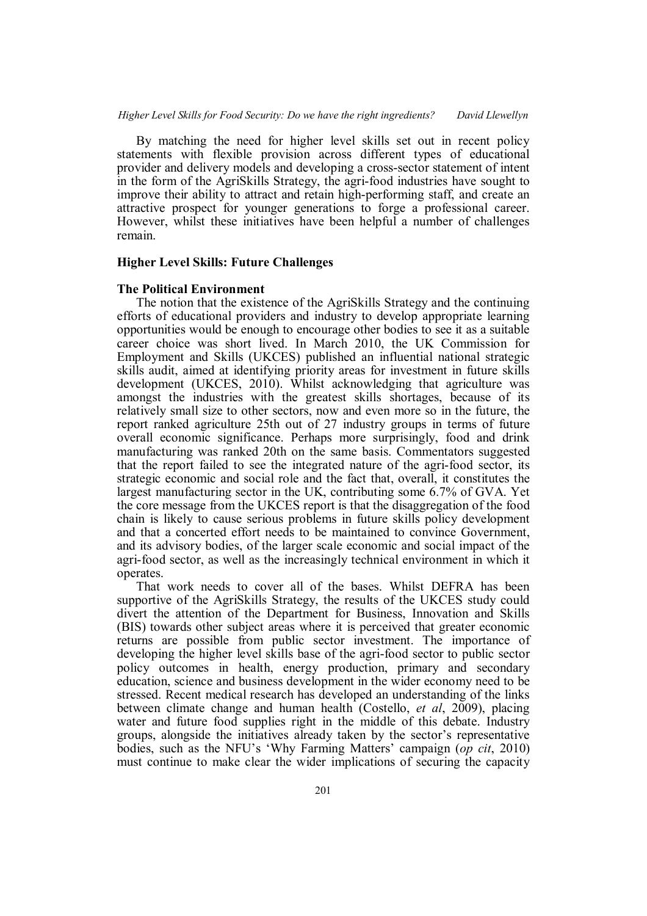By matching the need for higher level skills set out in recent policy statements with flexible provision across different types of educational provider and delivery models and developing a cross-sector statement of intent in the form of the AgriSkills Strategy, the agri-food industries have sought to improve their ability to attract and retain high-performing staff, and create an attractive prospect for younger generations to forge a professional career. However, whilst these initiatives have been helpful a number of challenges remain.

# **Higher Level Skills: Future Challenges**

#### **The Political Environment**

The notion that the existence of the AgriSkills Strategy and the continuing efforts of educational providers and industry to develop appropriate learning opportunities would be enough to encourage other bodies to see it as a suitable career choice was short lived. In March 2010, the UK Commission for Employment and Skills (UKCES) published an influential national strategic skills audit, aimed at identifying priority areas for investment in future skills development (UKCES, 2010). Whilst acknowledging that agriculture was amongst the industries with the greatest skills shortages, because of its relatively small size to other sectors, now and even more so in the future, the report ranked agriculture 25th out of 27 industry groups in terms of future overall economic significance. Perhaps more surprisingly, food and drink manufacturing was ranked 20th on the same basis. Commentators suggested that the report failed to see the integrated nature of the agri-food sector, its strategic economic and social role and the fact that, overall, it constitutes the largest manufacturing sector in the UK, contributing some 6.7% of GVA. Yet the core message from the UKCES report is that the disaggregation of the food chain is likely to cause serious problems in future skills policy development and that a concerted effort needs to be maintained to convince Government, and its advisory bodies, of the larger scale economic and social impact of the agri-food sector, as well as the increasingly technical environment in which it operates.

That work needs to cover all of the bases. Whilst DEFRA has been supportive of the AgriSkills Strategy, the results of the UKCES study could divert the attention of the Department for Business, Innovation and Skills (BIS) towards other subject areas where it is perceived that greater economic returns are possible from public sector investment. The importance of developing the higher level skills base of the agri-food sector to public sector policy outcomes in health, energy production, primary and secondary education, science and business development in the wider economy need to be stressed. Recent medical research has developed an understanding of the links between climate change and human health (Costello, *et al*, 2009), placing water and future food supplies right in the middle of this debate. Industry groups, alongside the initiatives already taken by the sector's representative bodies, such as the NFU's 'Why Farming Matters' campaign (*op cit*, 2010) must continue to make clear the wider implications of securing the capacity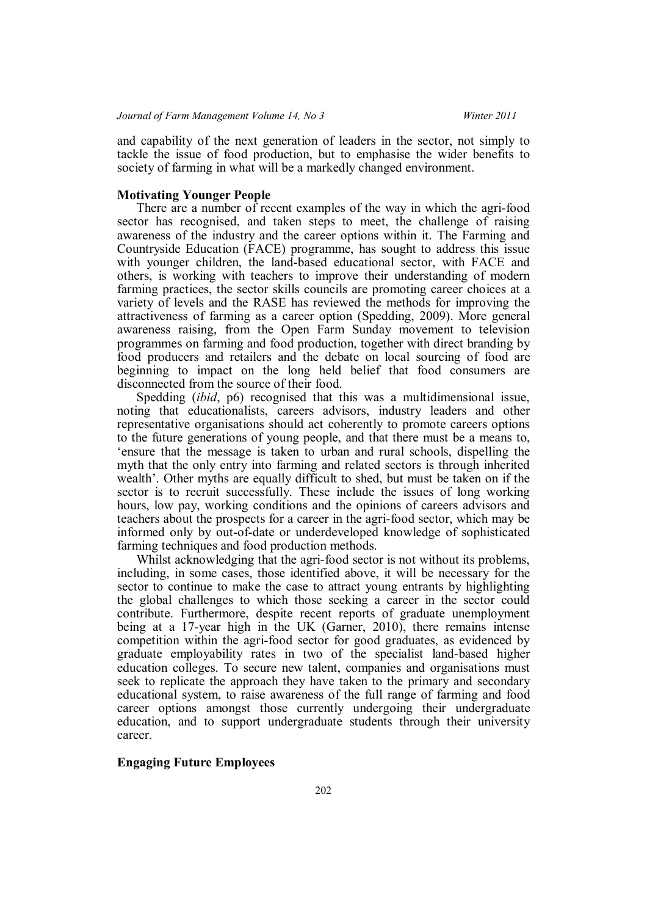and capability of the next generation of leaders in the sector, not simply to tackle the issue of food production, but to emphasise the wider benefits to society of farming in what will be a markedly changed environment.

## **Motivating Younger People**

There are a number of recent examples of the way in which the agri-food sector has recognised, and taken steps to meet, the challenge of raising awareness of the industry and the career options within it. The Farming and Countryside Education (FACE) programme, has sought to address this issue with younger children, the land-based educational sector, with FACE and others, is working with teachers to improve their understanding of modern farming practices, the sector skills councils are promoting career choices at a variety of levels and the RASE has reviewed the methods for improving the attractiveness of farming as a career option (Spedding, 2009). More general awareness raising, from the Open Farm Sunday movement to television programmes on farming and food production, together with direct branding by food producers and retailers and the debate on local sourcing of food are beginning to impact on the long held belief that food consumers are disconnected from the source of their food.

Spedding (*ibid*, p6) recognised that this was a multidimensional issue, noting that educationalists, careers advisors, industry leaders and other representative organisations should act coherently to promote careers options to the future generations of young people, and that there must be a means to, 'ensure that the message is taken to urban and rural schools, dispelling the myth that the only entry into farming and related sectors is through inherited wealth'. Other myths are equally difficult to shed, but must be taken on if the sector is to recruit successfully. These include the issues of long working hours, low pay, working conditions and the opinions of careers advisors and teachers about the prospects for a career in the agri-food sector, which may be informed only by out-of-date or underdeveloped knowledge of sophisticated farming techniques and food production methods.

Whilst acknowledging that the agri-food sector is not without its problems, including, in some cases, those identified above, it will be necessary for the sector to continue to make the case to attract young entrants by highlighting the global challenges to which those seeking a career in the sector could contribute. Furthermore, despite recent reports of graduate unemployment being at a 17-year high in the UK (Garner, 2010), there remains intense competition within the agri-food sector for good graduates, as evidenced by graduate employability rates in two of the specialist land-based higher education colleges. To secure new talent, companies and organisations must seek to replicate the approach they have taken to the primary and secondary educational system, to raise awareness of the full range of farming and food career options amongst those currently undergoing their undergraduate education, and to support undergraduate students through their university career.

# **Engaging Future Employees**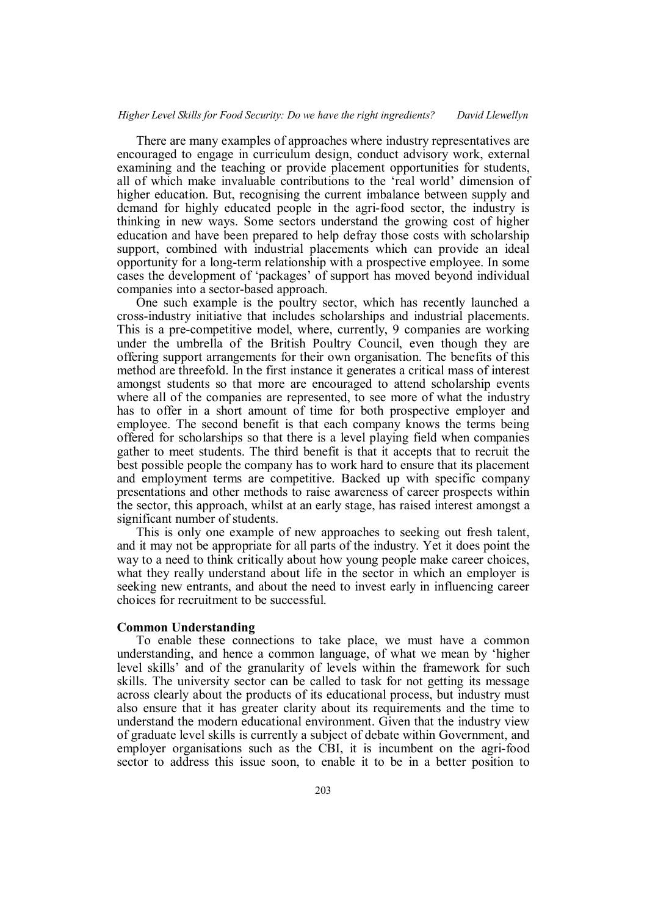There are many examples of approaches where industry representatives are encouraged to engage in curriculum design, conduct advisory work, external examining and the teaching or provide placement opportunities for students, all of which make invaluable contributions to the 'real world' dimension of higher education. But, recognising the current imbalance between supply and demand for highly educated people in the agri-food sector, the industry is thinking in new ways. Some sectors understand the growing cost of higher education and have been prepared to help defray those costs with scholarship support, combined with industrial placements which can provide an ideal opportunity for a long-term relationship with a prospective employee. In some cases the development of 'packages' of support has moved beyond individual companies into a sector-based approach.

One such example is the poultry sector, which has recently launched a cross-industry initiative that includes scholarships and industrial placements. This is a pre-competitive model, where, currently, 9 companies are working under the umbrella of the British Poultry Council, even though they are offering support arrangements for their own organisation. The benefits of this method are threefold. In the first instance it generates a critical mass of interest amongst students so that more are encouraged to attend scholarship events where all of the companies are represented, to see more of what the industry has to offer in a short amount of time for both prospective employer and employee. The second benefit is that each company knows the terms being offered for scholarships so that there is a level playing field when companies gather to meet students. The third benefit is that it accepts that to recruit the best possible people the company has to work hard to ensure that its placement and employment terms are competitive. Backed up with specific company presentations and other methods to raise awareness of career prospects within the sector, this approach, whilst at an early stage, has raised interest amongst a significant number of students.

This is only one example of new approaches to seeking out fresh talent, and it may not be appropriate for all parts of the industry. Yet it does point the way to a need to think critically about how young people make career choices, what they really understand about life in the sector in which an employer is seeking new entrants, and about the need to invest early in influencing career choices for recruitment to be successful.

# **Common Understanding**

To enable these connections to take place, we must have a common understanding, and hence a common language, of what we mean by 'higher level skills' and of the granularity of levels within the framework for such skills. The university sector can be called to task for not getting its message across clearly about the products of its educational process, but industry must also ensure that it has greater clarity about its requirements and the time to understand the modern educational environment. Given that the industry view of graduate level skills is currently a subject of debate within Government, and employer organisations such as the CBI, it is incumbent on the agri-food sector to address this issue soon, to enable it to be in a better position to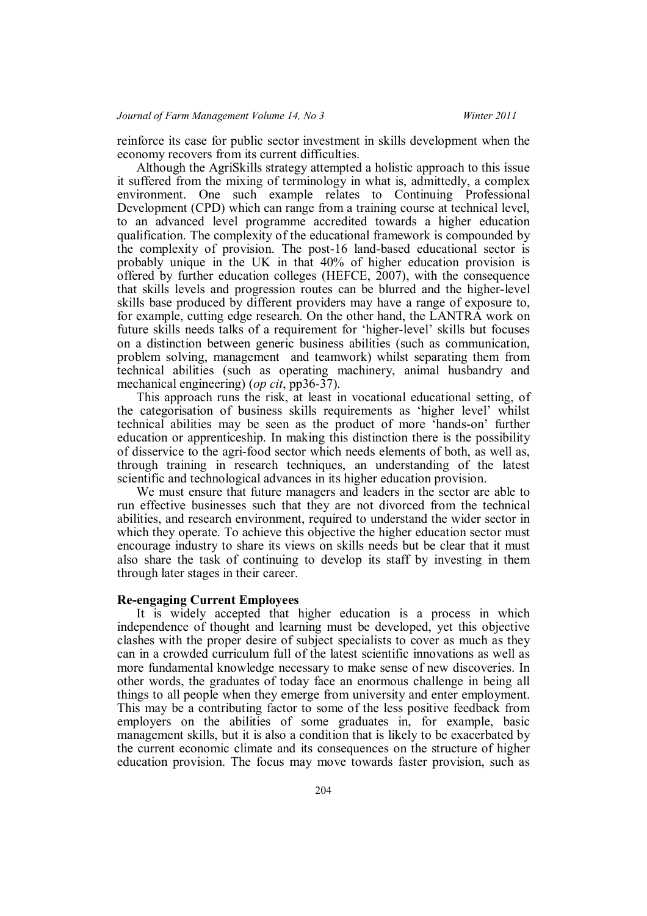reinforce its case for public sector investment in skills development when the economy recovers from its current difficulties.

Although the AgriSkills strategy attempted a holistic approach to this issue it suffered from the mixing of terminology in what is, admittedly, a complex environment. One such example relates to Continuing Professional Development (CPD) which can range from a training course at technical level, to an advanced level programme accredited towards a higher education qualification. The complexity of the educational framework is compounded by the complexity of provision. The post-16 land-based educational sector is probably unique in the UK in that 40% of higher education provision is offered by further education colleges (HEFCE, 2007), with the consequence that skills levels and progression routes can be blurred and the higher-level skills base produced by different providers may have a range of exposure to, for example, cutting edge research. On the other hand, the LANTRA work on future skills needs talks of a requirement for 'higher-level' skills but focuses on a distinction between generic business abilities (such as communication, problem solving, management and teamwork) whilst separating them from technical abilities (such as operating machinery, animal husbandry and mechanical engineering) (*op cit*, pp36-37).

This approach runs the risk, at least in vocational educational setting, of the categorisation of business skills requirements as 'higher level' whilst technical abilities may be seen as the product of more 'hands-on' further education or apprenticeship. In making this distinction there is the possibility of disservice to the agri-food sector which needs elements of both, as well as, through training in research techniques, an understanding of the latest scientific and technological advances in its higher education provision.

We must ensure that future managers and leaders in the sector are able to run effective businesses such that they are not divorced from the technical abilities, and research environment, required to understand the wider sector in which they operate. To achieve this objective the higher education sector must encourage industry to share its views on skills needs but be clear that it must also share the task of continuing to develop its staff by investing in them through later stages in their career.

# **Re-engaging Current Employees**

It is widely accepted that higher education is a process in which independence of thought and learning must be developed, yet this objective clashes with the proper desire of subject specialists to cover as much as they can in a crowded curriculum full of the latest scientific innovations as well as more fundamental knowledge necessary to make sense of new discoveries. In other words, the graduates of today face an enormous challenge in being all things to all people when they emerge from university and enter employment. This may be a contributing factor to some of the less positive feedback from employers on the abilities of some graduates in, for example, basic management skills, but it is also a condition that is likely to be exacerbated by the current economic climate and its consequences on the structure of higher education provision. The focus may move towards faster provision, such as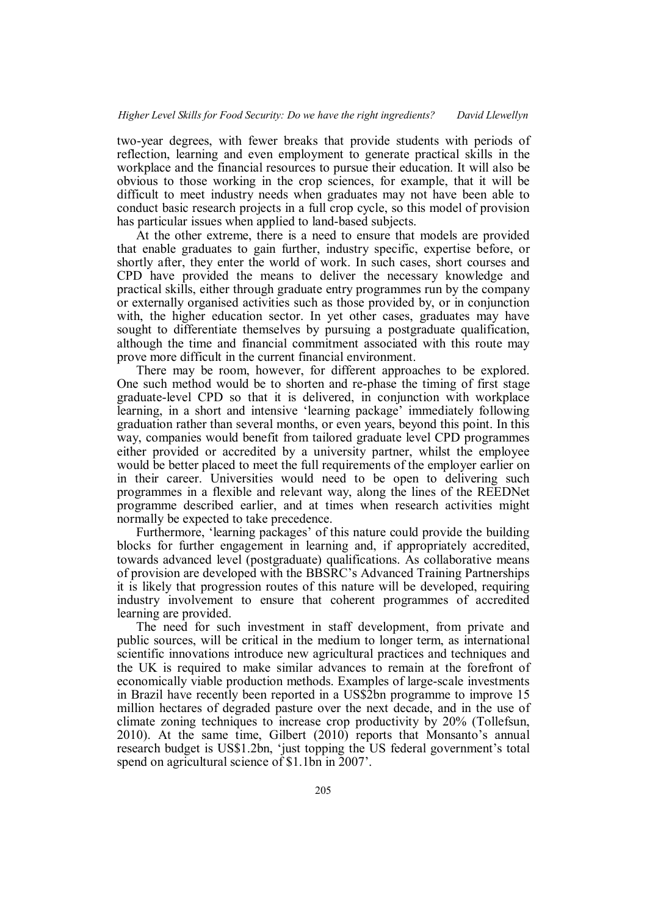two-year degrees, with fewer breaks that provide students with periods of reflection, learning and even employment to generate practical skills in the workplace and the financial resources to pursue their education. It will also be obvious to those working in the crop sciences, for example, that it will be difficult to meet industry needs when graduates may not have been able to conduct basic research projects in a full crop cycle, so this model of provision has particular issues when applied to land-based subjects.

At the other extreme, there is a need to ensure that models are provided that enable graduates to gain further, industry specific, expertise before, or shortly after, they enter the world of work. In such cases, short courses and CPD have provided the means to deliver the necessary knowledge and practical skills, either through graduate entry programmes run by the company or externally organised activities such as those provided by, or in conjunction with, the higher education sector. In yet other cases, graduates may have sought to differentiate themselves by pursuing a postgraduate qualification, although the time and financial commitment associated with this route may prove more difficult in the current financial environment.

There may be room, however, for different approaches to be explored. One such method would be to shorten and re-phase the timing of first stage graduate-level CPD so that it is delivered, in conjunction with workplace learning, in a short and intensive 'learning package' immediately following graduation rather than several months, or even years, beyond this point. In this way, companies would benefit from tailored graduate level CPD programmes either provided or accredited by a university partner, whilst the employee would be better placed to meet the full requirements of the employer earlier on in their career. Universities would need to be open to delivering such programmes in a flexible and relevant way, along the lines of the REEDNet programme described earlier, and at times when research activities might normally be expected to take precedence.

Furthermore, 'learning packages' of this nature could provide the building blocks for further engagement in learning and, if appropriately accredited, towards advanced level (postgraduate) qualifications. As collaborative means of provision are developed with the BBSRC's Advanced Training Partnerships it is likely that progression routes of this nature will be developed, requiring industry involvement to ensure that coherent programmes of accredited learning are provided.

The need for such investment in staff development, from private and public sources, will be critical in the medium to longer term, as international scientific innovations introduce new agricultural practices and techniques and the UK is required to make similar advances to remain at the forefront of economically viable production methods. Examples of large-scale investments in Brazil have recently been reported in a US\$2bn programme to improve 15 million hectares of degraded pasture over the next decade, and in the use of climate zoning techniques to increase crop productivity by 20% (Tollefsun, 2010). At the same time, Gilbert (2010) reports that Monsanto's annual research budget is US\$1.2bn, 'just topping the US federal government's total spend on agricultural science of \$1.1bn in 2007'.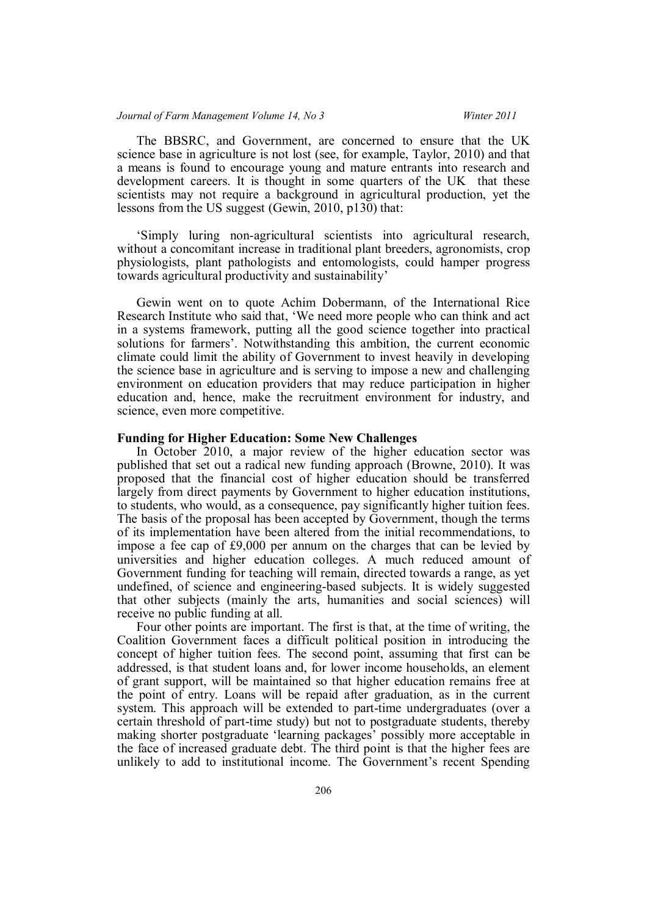The BBSRC, and Government, are concerned to ensure that the UK science base in agriculture is not lost (see, for example, Taylor, 2010) and that a means is found to encourage young and mature entrants into research and development careers. It is thought in some quarters of the UK that these scientists may not require a background in agricultural production, yet the lessons from the US suggest (Gewin, 2010, p130) that:

'Simply luring non-agricultural scientists into agricultural research, without a concomitant increase in traditional plant breeders, agronomists, crop physiologists, plant pathologists and entomologists, could hamper progress towards agricultural productivity and sustainability'

Gewin went on to quote Achim Dobermann, of the International Rice Research Institute who said that, 'We need more people who can think and act in a systems framework, putting all the good science together into practical solutions for farmers'. Notwithstanding this ambition, the current economic climate could limit the ability of Government to invest heavily in developing the science base in agriculture and is serving to impose a new and challenging environment on education providers that may reduce participation in higher education and, hence, make the recruitment environment for industry, and science, even more competitive.

#### **Funding for Higher Education: Some New Challenges**

In October 2010, a major review of the higher education sector was published that set out a radical new funding approach (Browne, 2010). It was proposed that the financial cost of higher education should be transferred largely from direct payments by Government to higher education institutions, to students, who would, as a consequence, pay significantly higher tuition fees. The basis of the proposal has been accepted by Government, though the terms of its implementation have been altered from the initial recommendations, to impose a fee cap of £9,000 per annum on the charges that can be levied by universities and higher education colleges. A much reduced amount of Government funding for teaching will remain, directed towards a range, as yet undefined, of science and engineering-based subjects. It is widely suggested that other subjects (mainly the arts, humanities and social sciences) will receive no public funding at all.

Four other points are important. The first is that, at the time of writing, the Coalition Government faces a difficult political position in introducing the concept of higher tuition fees. The second point, assuming that first can be addressed, is that student loans and, for lower income households, an element of grant support, will be maintained so that higher education remains free at the point of entry. Loans will be repaid after graduation, as in the current system. This approach will be extended to part-time undergraduates (over a certain threshold of part-time study) but not to postgraduate students, thereby making shorter postgraduate 'learning packages' possibly more acceptable in the face of increased graduate debt. The third point is that the higher fees are unlikely to add to institutional income. The Government's recent Spending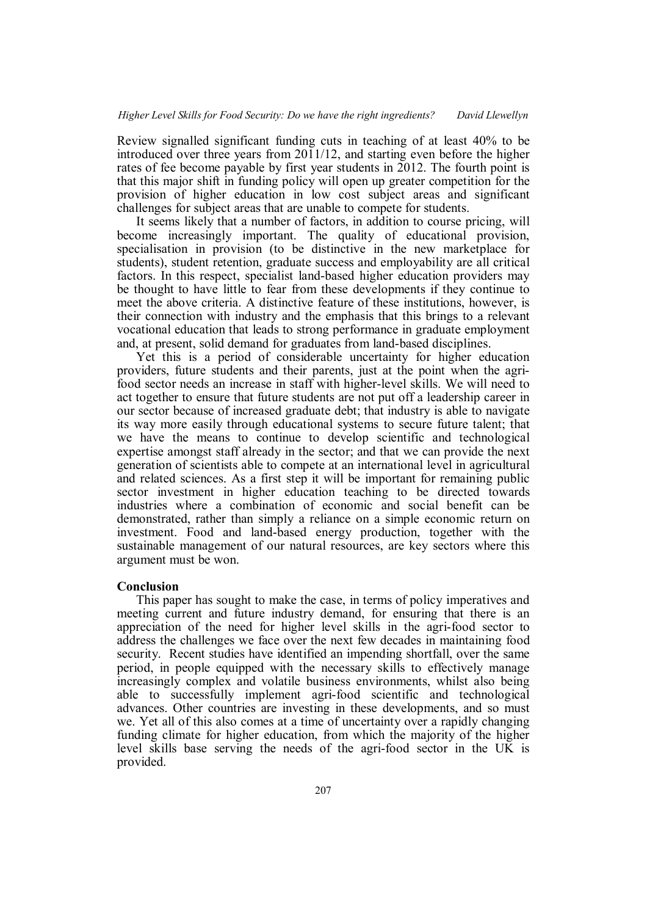Review signalled significant funding cuts in teaching of at least 40% to be introduced over three years from 2011/12, and starting even before the higher rates of fee become payable by first year students in 2012. The fourth point is that this major shift in funding policy will open up greater competition for the provision of higher education in low cost subject areas and significant challenges for subject areas that are unable to compete for students.

It seems likely that a number of factors, in addition to course pricing, will become increasingly important. The quality of educational provision, specialisation in provision (to be distinctive in the new marketplace for students), student retention, graduate success and employability are all critical factors. In this respect, specialist land-based higher education providers may be thought to have little to fear from these developments if they continue to meet the above criteria. A distinctive feature of these institutions, however, is their connection with industry and the emphasis that this brings to a relevant vocational education that leads to strong performance in graduate employment and, at present, solid demand for graduates from land-based disciplines.

Yet this is a period of considerable uncertainty for higher education providers, future students and their parents, just at the point when the agrifood sector needs an increase in staff with higher-level skills. We will need to act together to ensure that future students are not put off a leadership career in our sector because of increased graduate debt; that industry is able to navigate its way more easily through educational systems to secure future talent; that we have the means to continue to develop scientific and technological expertise amongst staff already in the sector; and that we can provide the next generation of scientists able to compete at an international level in agricultural and related sciences. As a first step it will be important for remaining public sector investment in higher education teaching to be directed towards industries where a combination of economic and social benefit can be demonstrated, rather than simply a reliance on a simple economic return on investment. Food and land-based energy production, together with the sustainable management of our natural resources, are key sectors where this argument must be won.

## **Conclusion**

This paper has sought to make the case, in terms of policy imperatives and meeting current and future industry demand, for ensuring that there is an appreciation of the need for higher level skills in the agri-food sector to address the challenges we face over the next few decades in maintaining food security. Recent studies have identified an impending shortfall, over the same period, in people equipped with the necessary skills to effectively manage increasingly complex and volatile business environments, whilst also being able to successfully implement agri-food scientific and technological advances. Other countries are investing in these developments, and so must we. Yet all of this also comes at a time of uncertainty over a rapidly changing funding climate for higher education, from which the majority of the higher level skills base serving the needs of the agri-food sector in the UK is provided.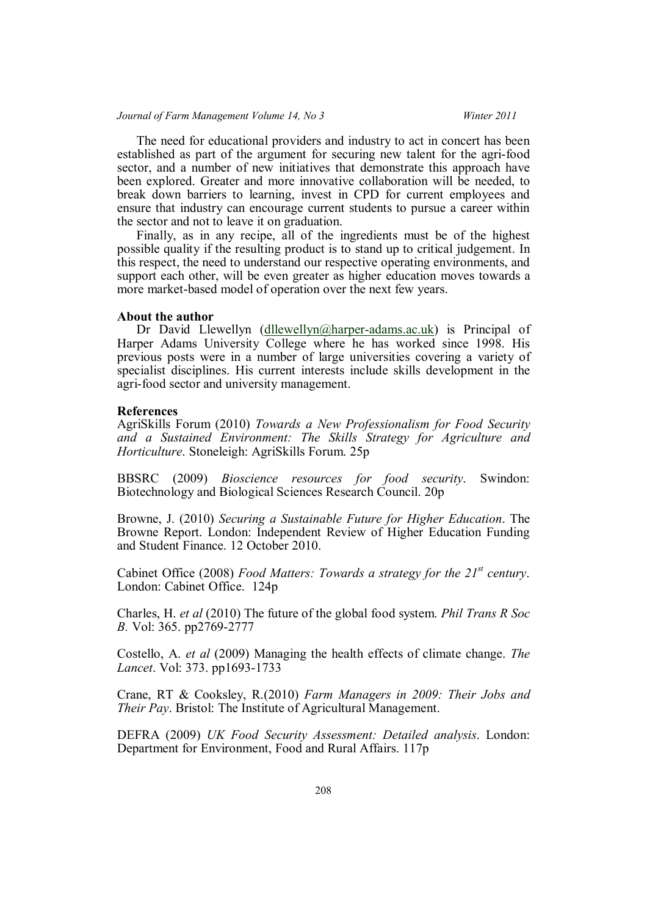## *Journal of Farm Management Volume 14, No 3 Winter 2011*

The need for educational providers and industry to act in concert has been established as part of the argument for securing new talent for the agri-food sector, and a number of new initiatives that demonstrate this approach have been explored. Greater and more innovative collaboration will be needed, to break down barriers to learning, invest in CPD for current employees and ensure that industry can encourage current students to pursue a career within the sector and not to leave it on graduation.

Finally, as in any recipe, all of the ingredients must be of the highest possible quality if the resulting product is to stand up to critical judgement. In this respect, the need to understand our respective operating environments, and support each other, will be even greater as higher education moves towards a more market-based model of operation over the next few years.

### **About the author**

Dr David Llewellyn (dllewellyn@harper-adams.ac.uk) is Principal of Harper Adams University College where he has worked since 1998. His previous posts were in a number of large universities covering a variety of specialist disciplines. His current interests include skills development in the agri-food sector and university management.

## **References**

AgriSkills Forum (2010) *Towards a New Professionalism for Food Security and a Sustained Environment: The Skills Strategy for Agriculture and Horticulture*. Stoneleigh: AgriSkills Forum. 25p

BBSRC (2009) *Bioscience resources for food security*. Swindon: Biotechnology and Biological Sciences Research Council. 20p

Browne, J. (2010) *Securing a Sustainable Future for Higher Education*. The Browne Report. London: Independent Review of Higher Education Funding and Student Finance. 12 October 2010.

Cabinet Office (2008) *Food Matters: Towards a strategy for the 21st century*. London: Cabinet Office. 124p

Charles, H. *et al* (2010) The future of the global food system. *Phil Trans R Soc B.* Vol: 365. pp2769-2777

Costello, A. *et al* (2009) Managing the health effects of climate change. *The Lancet*. Vol: 373. pp1693-1733

Crane, RT & Cooksley, R.(2010) *Farm Managers in 2009: Their Jobs and Their Pay*. Bristol: The Institute of Agricultural Management.

DEFRA (2009) *UK Food Security Assessment: Detailed analysis*. London: Department for Environment, Food and Rural Affairs. 117p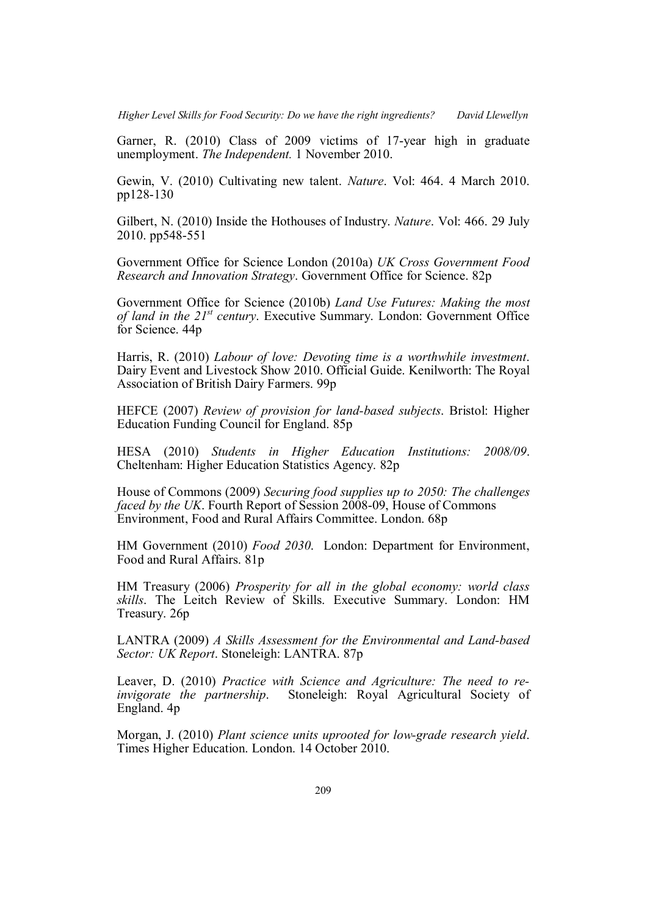Garner, R. (2010) Class of 2009 victims of 17-year high in graduate unemployment. *The Independent.* 1 November 2010.

Gewin, V. (2010) Cultivating new talent. *Nature*. Vol: 464. 4 March 2010. pp128-130

Gilbert, N. (2010) Inside the Hothouses of Industry. *Nature*. Vol: 466. 29 July 2010. pp548-551

Government Office for Science London (2010a) *UK Cross Government Food Research and Innovation Strategy*. Government Office for Science. 82p

Government Office for Science (2010b) *Land Use Futures: Making the most of land in the 21st century*. Executive Summary. London: Government Office for Science. 44p

Harris, R. (2010) *Labour of love: Devoting time is a worthwhile investment*. Dairy Event and Livestock Show 2010. Official Guide. Kenilworth: The Royal Association of British Dairy Farmers. 99p

HEFCE (2007) *Review of provision for land-based subjects*. Bristol: Higher Education Funding Council for England. 85p

HESA (2010) *Students in Higher Education Institutions: 2008/09*. Cheltenham: Higher Education Statistics Agency. 82p

House of Commons (2009) *Securing food supplies up to 2050: The challenges faced by the UK*. Fourth Report of Session 2008-09, House of Commons Environment, Food and Rural Affairs Committee. London. 68p

HM Government (2010) *Food 2030*. London: Department for Environment, Food and Rural Affairs. 81p

HM Treasury (2006) *Prosperity for all in the global economy: world class skills*. The Leitch Review of Skills. Executive Summary. London: HM Treasury. 26p

LANTRA (2009) *A Skills Assessment for the Environmental and Land-based Sector: UK Report*. Stoneleigh: LANTRA. 87p

Leaver, D. (2010) *Practice with Science and Agriculture: The need to reinvigorate the partnership*. Stoneleigh: Royal Agricultural Society of England. 4p

Morgan, J. (2010) *Plant science units uprooted for low-grade research yield*. Times Higher Education. London. 14 October 2010.